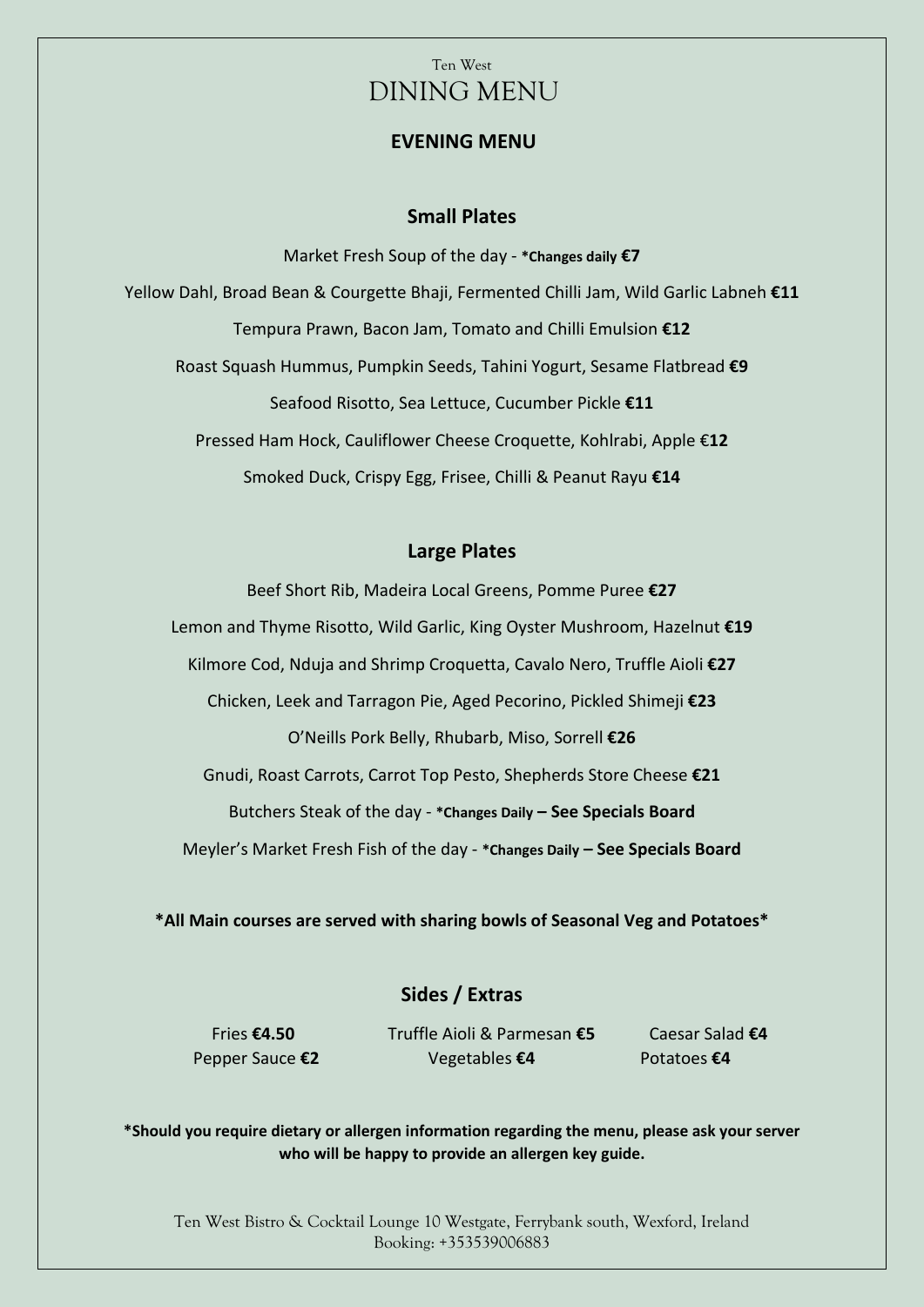### **EVENING MENU**

### **Small Plates**

Market Fresh Soup of the day - **\*Changes daily €7** Yellow Dahl, Broad Bean & Courgette Bhaji, Fermented Chilli Jam, Wild Garlic Labneh **€11** Tempura Prawn, Bacon Jam, Tomato and Chilli Emulsion **€12** Roast Squash Hummus, Pumpkin Seeds, Tahini Yogurt, Sesame Flatbread **€9** Seafood Risotto, Sea Lettuce, Cucumber Pickle **€11** Pressed Ham Hock, Cauliflower Cheese Croquette, Kohlrabi, Apple €**12** Smoked Duck, Crispy Egg, Frisee, Chilli & Peanut Rayu **€14**

### **Large Plates**

Beef Short Rib, Madeira Local Greens, Pomme Puree **€27** Lemon and Thyme Risotto, Wild Garlic, King Oyster Mushroom, Hazelnut **€19** Kilmore Cod, Nduja and Shrimp Croquetta, Cavalo Nero, Truffle Aioli **€27** Chicken, Leek and Tarragon Pie, Aged Pecorino, Pickled Shimeji **€23** O'Neills Pork Belly, Rhubarb, Miso, Sorrell **€26** Gnudi, Roast Carrots, Carrot Top Pesto, Shepherds Store Cheese **€21** Butchers Steak of the day - **\*Changes Daily – See Specials Board** Meyler's Market Fresh Fish of the day - **\*Changes Daily – See Specials Board**

**\*All Main courses are served with sharing bowls of Seasonal Veg and Potatoes\***

## **Sides / Extras**

Fries **€4.50** Truffle Aioli & Parmesan **€5** Caesar Salad **€4** Pepper Sauce **€2** Vegetables **€4** Potatoes **€4**

**\*Should you require dietary or allergen information regarding the menu, please ask your server who will be happy to provide an allergen key guide.**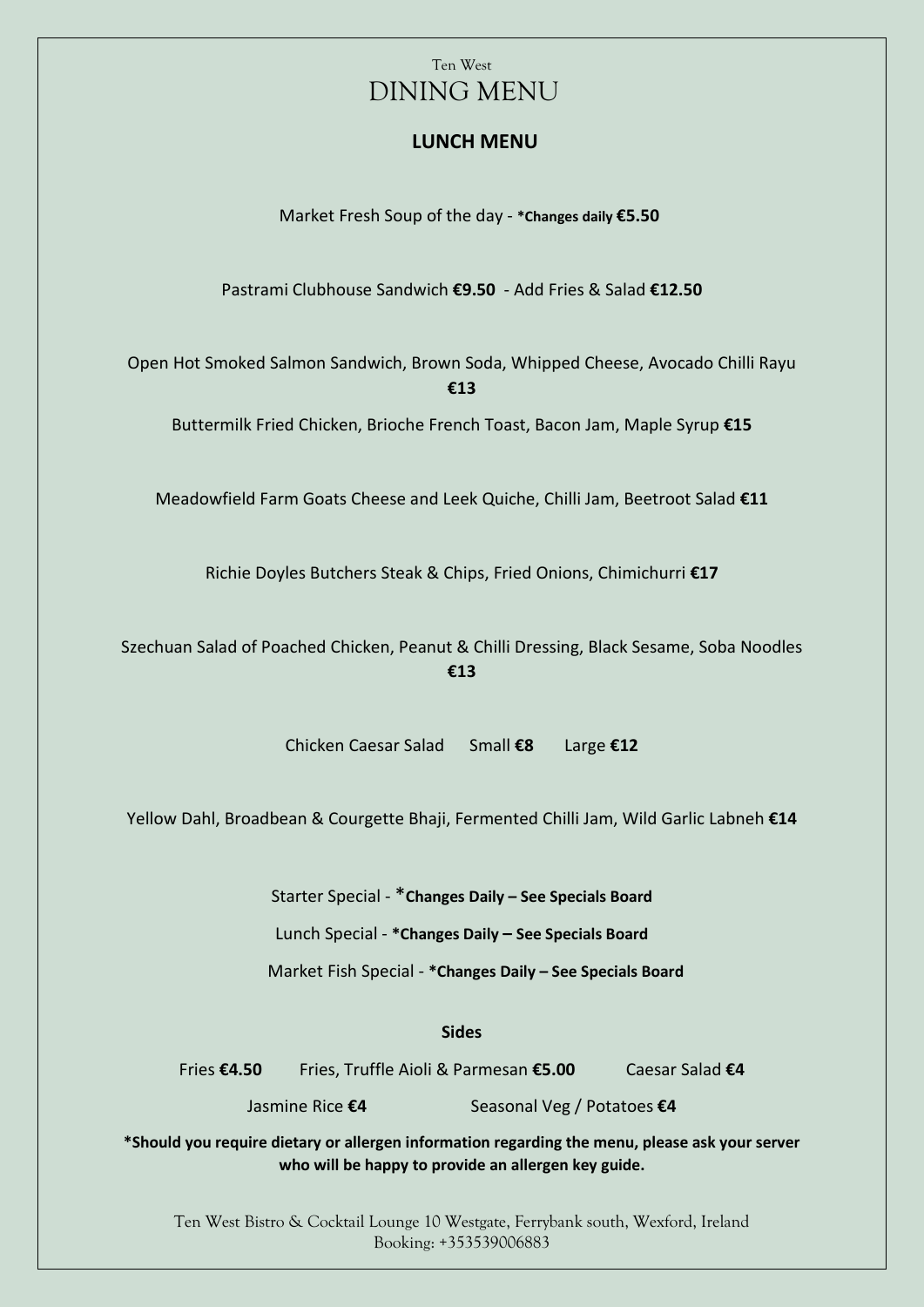## **LUNCH MENU**

Market Fresh Soup of the day - **\*Changes daily €5.50**

Pastrami Clubhouse Sandwich **€9.50** - Add Fries & Salad **€12.50**

Open Hot Smoked Salmon Sandwich, Brown Soda, Whipped Cheese, Avocado Chilli Rayu **€13**

Buttermilk Fried Chicken, Brioche French Toast, Bacon Jam, Maple Syrup **€15**

Meadowfield Farm Goats Cheese and Leek Quiche, Chilli Jam, Beetroot Salad **€11**

Richie Doyles Butchers Steak & Chips, Fried Onions, Chimichurri **€17**

Szechuan Salad of Poached Chicken, Peanut & Chilli Dressing, Black Sesame, Soba Noodles **€13**

Chicken Caesar Salad Small **€8** Large **€12**

Yellow Dahl, Broadbean & Courgette Bhaji, Fermented Chilli Jam, Wild Garlic Labneh **€14**

Starter Special - \***Changes Daily – See Specials Board**

Lunch Special - **\*Changes Daily – See Specials Board**

Market Fish Special - **\*Changes Daily – See Specials Board**

**Sides**

Fries **€4.50** Fries, Truffle Aioli & Parmesan **€5.00** Caesar Salad **€4**

Jasmine Rice **€4** Seasonal Veg / Potatoes **€4**

**\*Should you require dietary or allergen information regarding the menu, please ask your server who will be happy to provide an allergen key guide.**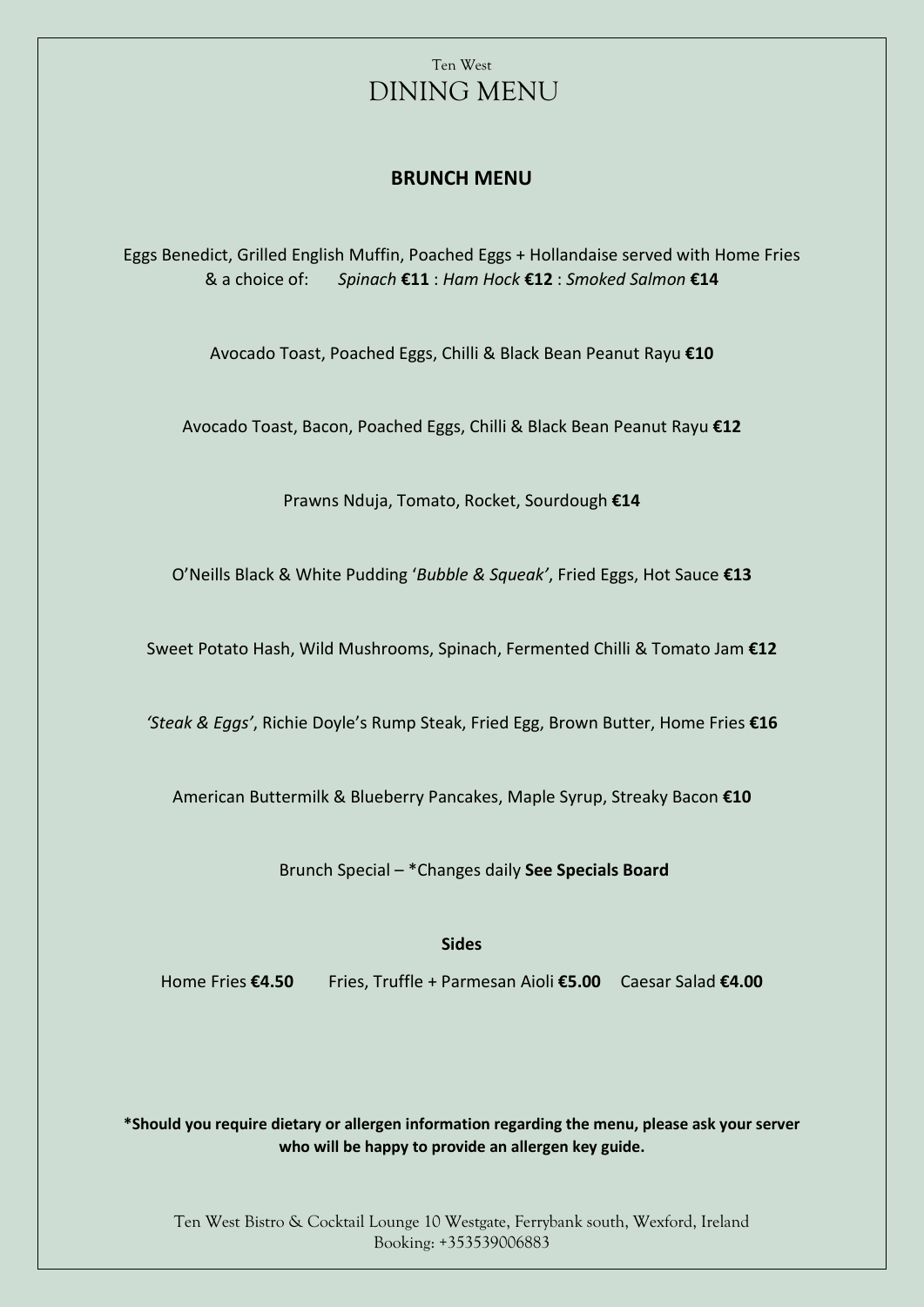## **BRUNCH MENU**

Eggs Benedict, Grilled English Muffin, Poached Eggs + Hollandaise served with Home Fries & a choice of: *Spinach* **€11** : *Ham Hock* **€12** : *Smoked Salmon* **€14**

Avocado Toast, Poached Eggs, Chilli & Black Bean Peanut Rayu **€10**

Avocado Toast, Bacon, Poached Eggs, Chilli & Black Bean Peanut Rayu **€12**

Prawns Nduja, Tomato, Rocket, Sourdough **€14**

O'Neills Black & White Pudding '*Bubble & Squeak'*, Fried Eggs, Hot Sauce **€13**

Sweet Potato Hash, Wild Mushrooms, Spinach, Fermented Chilli & Tomato Jam **€12**

*'Steak & Eggs'*, Richie Doyle's Rump Steak, Fried Egg, Brown Butter, Home Fries **€16**

American Buttermilk & Blueberry Pancakes, Maple Syrup, Streaky Bacon **€10**

Brunch Special – \*Changes daily **See Specials Board**

**Sides**

Home Fries **€4.50** Fries, Truffle + Parmesan Aioli **€5.00** Caesar Salad **€4.00**

**\*Should you require dietary or allergen information regarding the menu, please ask your server who will be happy to provide an allergen key guide.**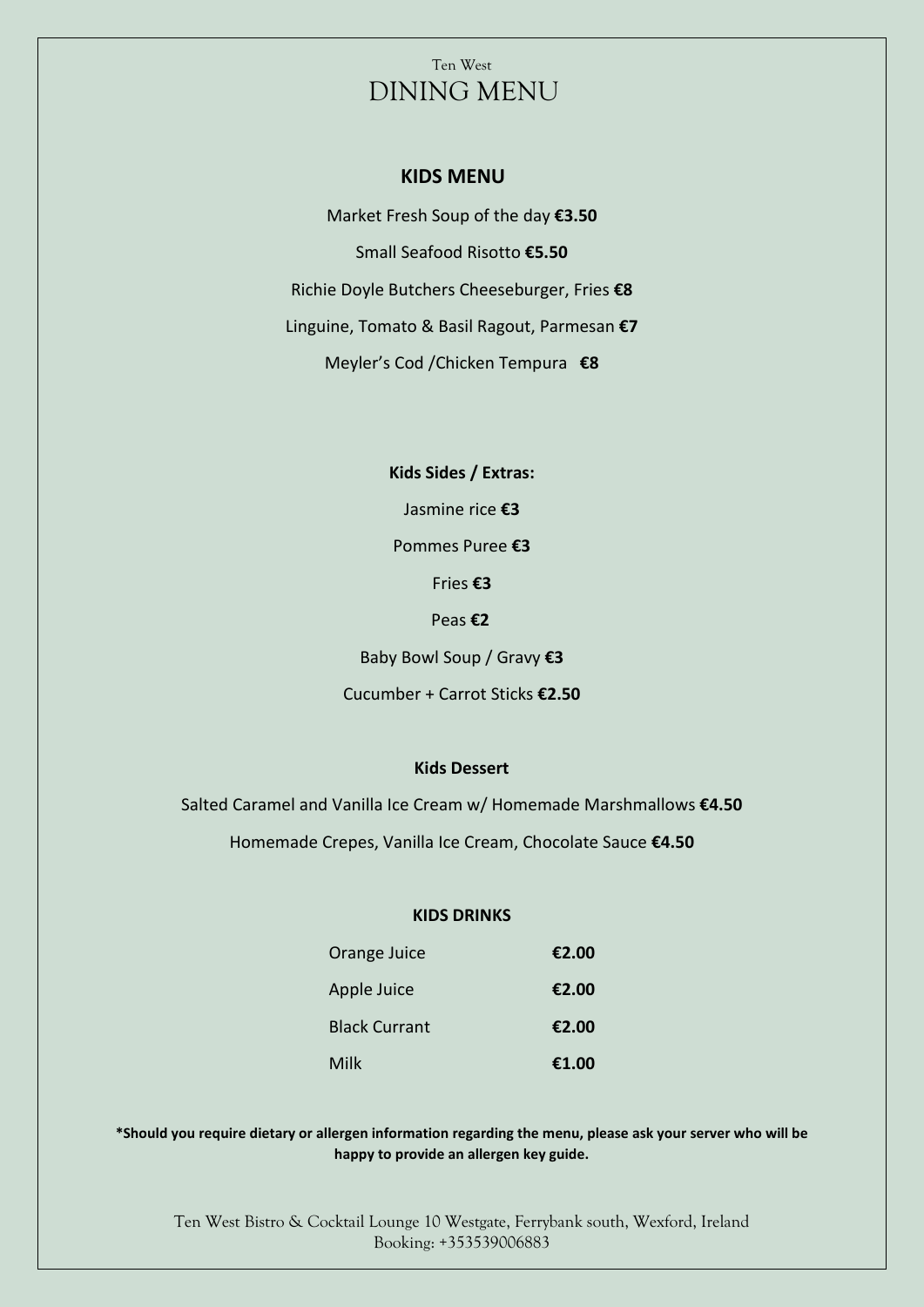#### **KIDS MENU**

Market Fresh Soup of the day **€3.50** Small Seafood Risotto **€5.50** Richie Doyle Butchers Cheeseburger, Fries **€8** Linguine, Tomato & Basil Ragout, Parmesan **€7** Meyler's Cod /Chicken Tempura **€8**

> **Kids Sides / Extras:** Jasmine rice **€3** Pommes Puree **€3**  Fries **€3** Peas **€2** Baby Bowl Soup / Gravy **€3** Cucumber + Carrot Sticks **€2.50**

#### **Kids Dessert**

Salted Caramel and Vanilla Ice Cream w/ Homemade Marshmallows **€4.50** Homemade Crepes, Vanilla Ice Cream, Chocolate Sauce **€4.50**

#### **KIDS DRINKS**

| Orange Juice         | €2.00 |
|----------------------|-------|
| Apple Juice          | €2.00 |
| <b>Black Currant</b> | €2.00 |
| Milk                 | €1.00 |

**\*Should you require dietary or allergen information regarding the menu, please ask your server who will be happy to provide an allergen key guide.**